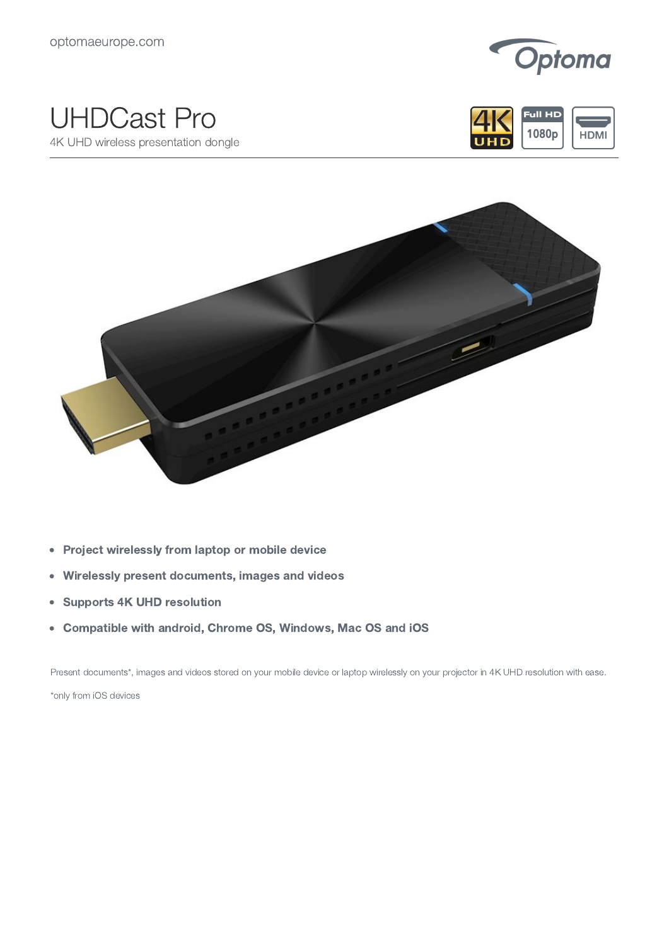

## UHDCast Pro

4K UHD wireless presentation dongle





- Project wirelessly from laptop or mobile device  $\bullet$
- Wirelessly present documents, images and videos  $\bullet$
- Supports 4K UHD resolution  $\bullet$
- Compatible with android, Chrome OS, Windows, Mac OS and iOS  $\bullet$

Present documents\*, images and videos stored on your mobile device or laptop wirelessly on your projector in 4K UHD resolution with ease. \*only from iOS devices